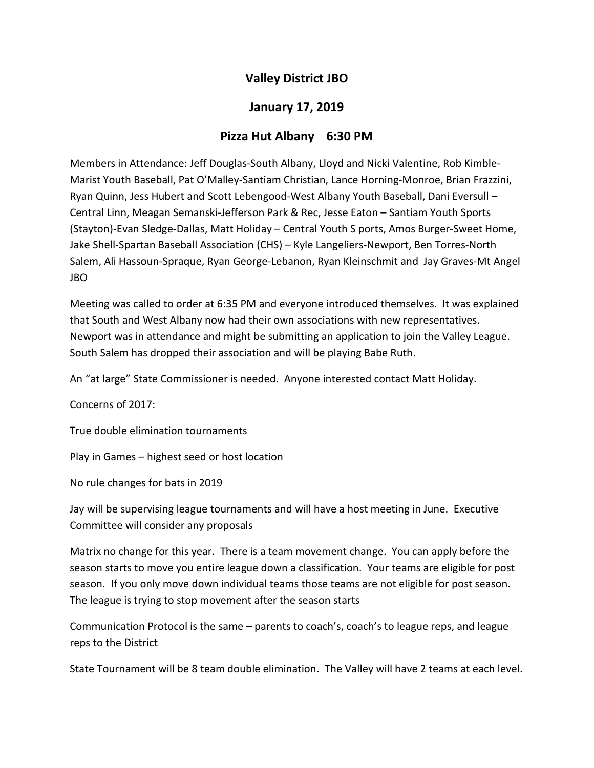## Valley District JBO

## January 17, 2019

## Pizza Hut Albany 6:30 PM

Members in Attendance: Jeff Douglas-South Albany, Lloyd and Nicki Valentine, Rob Kimble-Marist Youth Baseball, Pat O'Malley-Santiam Christian, Lance Horning-Monroe, Brian Frazzini, Ryan Quinn, Jess Hubert and Scott Lebengood-West Albany Youth Baseball, Dani Eversull – Central Linn, Meagan Semanski-Jefferson Park & Rec, Jesse Eaton – Santiam Youth Sports (Stayton)-Evan Sledge-Dallas, Matt Holiday – Central Youth S ports, Amos Burger-Sweet Home, Jake Shell-Spartan Baseball Association (CHS) – Kyle Langeliers-Newport, Ben Torres-North Salem, Ali Hassoun-Spraque, Ryan George-Lebanon, Ryan Kleinschmit and Jay Graves-Mt Angel JBO

Meeting was called to order at 6:35 PM and everyone introduced themselves. It was explained that South and West Albany now had their own associations with new representatives. Newport was in attendance and might be submitting an application to join the Valley League. South Salem has dropped their association and will be playing Babe Ruth.

An "at large" State Commissioner is needed. Anyone interested contact Matt Holiday.

Concerns of 2017:

True double elimination tournaments

Play in Games – highest seed or host location

No rule changes for bats in 2019

Jay will be supervising league tournaments and will have a host meeting in June. Executive Committee will consider any proposals

Matrix no change for this year. There is a team movement change. You can apply before the season starts to move you entire league down a classification. Your teams are eligible for post season. If you only move down individual teams those teams are not eligible for post season. The league is trying to stop movement after the season starts

Communication Protocol is the same – parents to coach's, coach's to league reps, and league reps to the District

State Tournament will be 8 team double elimination. The Valley will have 2 teams at each level.